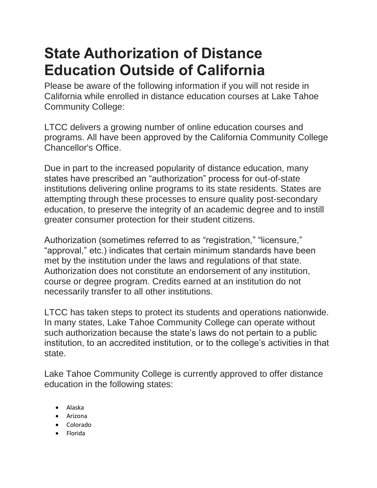## **State Authorization of Distance Education Outside of California**

Please be aware of the following information if you will not reside in California while enrolled in distance education courses at Lake Tahoe Community College:

LTCC delivers a growing number of online education courses and programs. All have been approved by the California Community College Chancellor's Office.

Due in part to the increased popularity of distance education, many states have prescribed an "authorization" process for out-of-state institutions delivering online programs to its state residents. States are attempting through these processes to ensure quality post-secondary education, to preserve the integrity of an academic degree and to instill greater consumer protection for their student citizens.

Authorization (sometimes referred to as "registration," "licensure," "approval," etc.) indicates that certain minimum standards have been met by the institution under the laws and regulations of that state. Authorization does not constitute an endorsement of any institution, course or degree program. Credits earned at an institution do not necessarily transfer to all other institutions.

LTCC has taken steps to protect its students and operations nationwide. In many states, Lake Tahoe Community College can operate without such authorization because the state's laws do not pertain to a public institution, to an accredited institution, or to the college's activities in that state.

Lake Tahoe Community College is currently approved to offer distance education in the following states:

- Alaska
- Arizona
- Colorado
- Florida